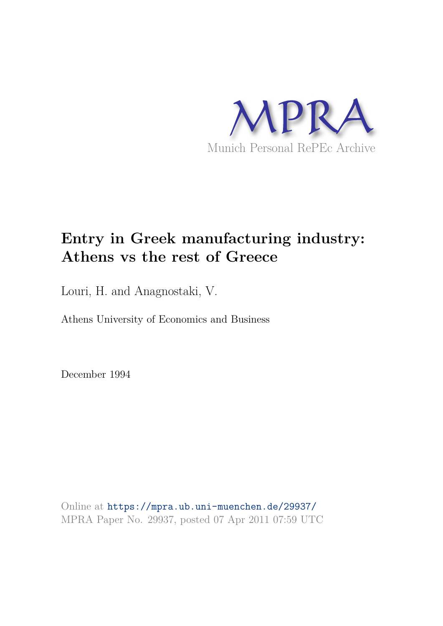

# **Entry in Greek manufacturing industry: Athens vs the rest of Greece**

Louri, H. and Anagnostaki, V.

Athens University of Economics and Business

December 1994

Online at https://mpra.ub.uni-muenchen.de/29937/ MPRA Paper No. 29937, posted 07 Apr 2011 07:59 UTC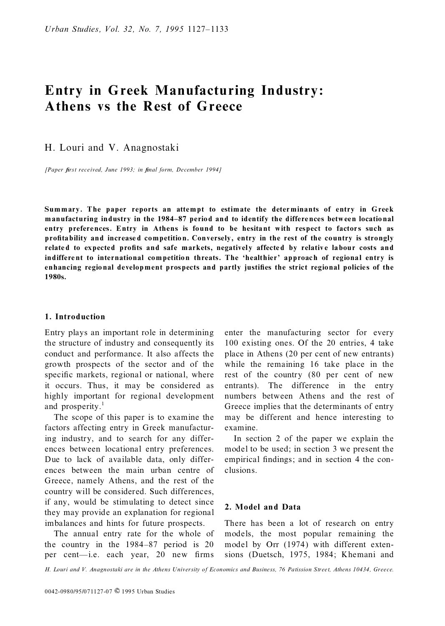## **Entry in Greek Manufacturing Industry: Athens vs the Rest of Greece**

H. Louri and V. Anagnostaki

*[Paper first received, June 1993; in final form, December 1994]* 

**Summary. The paper reports an attempt to estimate the determinants of entry in Greek manufacturing industry in the 1984±87 period and to identify the differences between locatio nal entry preferences. Entry in Athens is found to be hesitant with respect to factors such as pro®tability and increased competition. Conversely, entry in the rest of the country is strongly** related to expected profits and safe markets, negatively affected by relative labour costs and **indifferent to international competition threats. The `healthier' approach of regional entry is** enhancing regional development prospects and partly justifies the strict regional policies of the **1980s.**

#### **1. Introduction**

Entry plays an important role in determining the structure of industry and consequently its conduct and performance. It also affects the growth prospects of the sector and of the specific markets, regional or national, where it occurs. Thus, it may be considered as highly important for regional development and prosperity.<sup>1</sup>

The scope of this paper is to examine the factors affecting entry in Greek manufacturing industry, and to search for any differences between locational entry preferences. Due to lack of available data, only differences between the main urban centre of Greece, namely Athens, and the rest of the country will be considered. Such differences, if any, would be stimulating to detect since they may provide an explanation for regional imbalances and hints for future prospects.

The annual entry rate for the whole of the country in the  $1984-87$  period is 20 per cent—i.e. each year, 20 new firms enter the manufacturing sector for every 100 existing ones. Of the 20 entries, 4 take place in Athens (20 per cent of new entrants) while the remaining 16 take place in the rest of the country (80 per cent of new entrants). The difference in the entry numbers between Athens and the rest of Greece implies that the determinants of entry may be different and hence interesting to examine.

In section 2 of the paper we explain the model to be used; in section 3 we present the empirical findings; and in section 4 the conclusions.

#### **2. Model and Data**

There has been a lot of research on entry models, the most popular remaining the model by Orr (1974) with different extensions (Duetsch, 1975, 1984; Khemani and

*H. Louri and V. Anagnostaki are in the Athens University of Economics and Business, 76 Patission Street, Athens 10434, Greece.*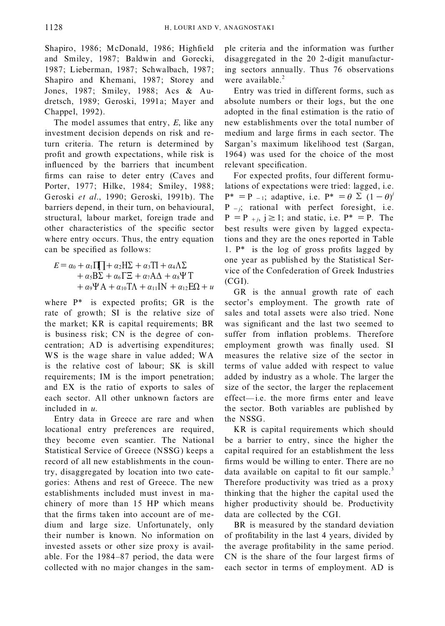Shapiro, 1986; McDonald, 1986; Highfield and Smiley, 1987; Baldwin and Gorecki, 1987; Lieberman, 1987; Schwalbach, 1987; Shapiro and Khemani, 1987; Storey and Jones, 1987; Smiley, 1988; Acs & Audretsch, 1989; Geroski, 1991a; Mayer and Chappel, 1992).

The model assumes that entry, *E*, like any investment decision depends on risk and return criteria. The return is determined by profit and growth expectations, while risk is influenced by the barriers that incumbent firms can raise to deter entry (Caves and Porter, 1977; Hilke, 1984; Smiley, 1988; Geroski *et al*., 1990; Geroski, 1991b). The barriers depend, in their turn, on behavioural, structural, labour market, foreign trade and other characteristics of the specific sector where entry occurs. Thus, the entry equation can be specified as follows:

$$
E = \alpha_0 + \alpha_1 \Pi \Pi + \alpha_2 \Pi \Sigma + \alpha_3 \Pi + \alpha_4 \Lambda \Sigma
$$
  
+  $\alpha_5 \text{B} \Sigma + \alpha_6 \Gamma \Xi + \alpha_7 \text{A} \Lambda + \alpha_8 \Psi \Upsilon$   
+  $\alpha_9 \Psi \Lambda + \alpha_{10} \Pi \Lambda + \alpha_{11} \Pi \Lambda + \alpha_{12} \text{E} \Omega + u$ 

where  $P^*$  is expected profits; GR is the rate of growth; SI is the relative size of the market; KR is capital requirements; BR is business risk; CN is the degree of concentration; AD is advertising expenditures; WS is the wage share in value added; WA is the relative cost of labour; SK is skill requirements; IM is the import penetration; and EX is the ratio of exports to sales of each sector. All other unknown factors are included in *u*.

Entry data in Greece are rare and when locational entry preferences are required, they become even scantier. The National Statistical Service of Greece (NSSG) keeps a record of all new establishments in the country, disaggregated by location into two categories: Athens and rest of Greece. The new establishments included must invest in machinery of more than 15 HP which means that the firms taken into account are of medium and large size. Unfortunately, only their number is known. No information on invested assets or other size proxy is available. For the 1984-87 period, the data were collected with no major changes in the sample criteria and the information was further disaggregated in the 20 2-digit manufacturing sectors annually. Thus 76 observations were available. $<sup>2</sup>$ </sup>

Entry was tried in different forms, such as absolute numbers or their logs, but the one adopted in the final estimation is the ratio of new establishments over the total number of medium and large firms in each sector. The Sargan's maximum likelihood test (Sargan, 1964) was used for the choice of the most relevant specification.

For expected profits, four different formulations of expectations were tried: lagged, i.e.  $P^* = P_{-1}$ ; adaptive, i.e.  $P^* = \theta \sum (1 - \theta)^j$  $P_{-j}$ ; rational with perfect foresight, i.e.  $P = P_{+i}$ ,  $j \ge 1$ ; and static, i.e.  $P^* = P$ . The best results were given by lagged expectations and they are the ones reported in Table 1.  $P^*$  is the log of gross profits lagged by one year as published by the Statistical Service of the Confederation of Greek Industries (CGI).

GR is the annual growth rate of each sector's employment. The growth rate of sales and total assets were also tried. None was significant and the last two seemed to suffer from inflation problems. Therefore employment growth was finally used. SI measures the relative size of the sector in terms of value added with respect to value added by industry as a whole. The larger the size of the sector, the larger the replacement effect—i.e. the more firms enter and leave the sector. Both variables are published by the NSSG.

KR is capital requirements which should be a barrier to entry, since the higher the capital required for an establishment the less firms would be willing to enter. There are no data available on capital to fit our sample.<sup>3</sup> Therefore productivity was tried as a proxy thinking that the higher the capital used the higher productivity should be. Productivity data are collected by the CGI.

BR is measured by the standard deviation of profitability in the last 4 years, divided by the average profitability in the same period.  $CN$  is the share of the four largest firms of each sector in terms of employment. AD is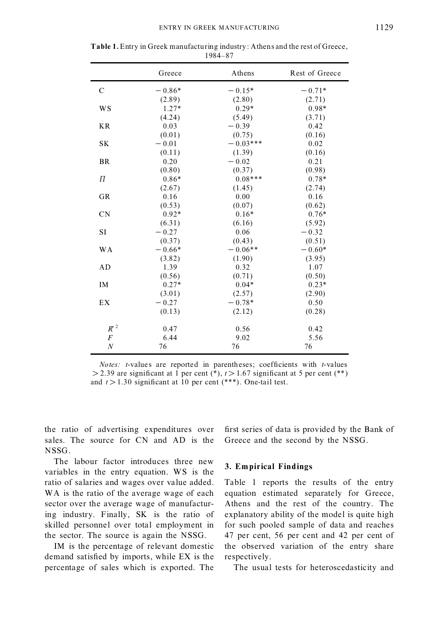|                  | Greece   | Athens     | Rest of Greece |
|------------------|----------|------------|----------------|
| C                | $-0.86*$ | $-0.15*$   | $-0.71*$       |
|                  | (2.89)   | (2.80)     | (2.71)         |
| <b>WS</b>        | $1.27*$  | $0.29*$    | $0.98*$        |
|                  | (4.24)   | (5.49)     | (3.71)         |
| <b>KR</b>        | 0.03     | $-0.39$    | 0.42           |
|                  | (0.01)   | (0.75)     | (0.16)         |
| <b>SK</b>        | $-0.01$  | $-0.03***$ | 0.02           |
|                  | (0.11)   | (1.39)     | (0.16)         |
| <b>BR</b>        | 0.20     | $-0.02$    | 0.21           |
|                  | (0.80)   | (0.37)     | (0.98)         |
| $\overline{\Pi}$ | $0.86*$  | $0.08***$  | $0.78*$        |
|                  | (2.67)   | (1.45)     | (2.74)         |
| <b>GR</b>        | 0.16     | 0.00       | 0.16           |
|                  | (0.53)   | (0.07)     | (0.62)         |
| CN               | $0.92*$  | $0.16*$    | $0.76*$        |
|                  | (6.31)   | (6.16)     | (5.92)         |
| <b>SI</b>        | $-0.27$  | 0.06       | $-0.32$        |
|                  | (0.37)   | (0.43)     | (0.51)         |
| <b>WA</b>        | $-0.66*$ | $-0.06**$  | $-0.60*$       |
|                  | (3.82)   | (1.90)     | (3.95)         |
| AD               | 1.39     | 0.32       | 1.07           |
|                  | (0.56)   | (0.71)     | (0.50)         |
| IM               | $0.27*$  | $0.04*$    | $0.23*$        |
|                  | (3.01)   | (2.57)     | (2.90)         |
| EX               | $-0.27$  | $-0.78*$   | 0.50           |
|                  | (0.13)   | (2.12)     | (0.28)         |
| $R^2$            | 0.47     | 0.56       | 0.42           |
| $\boldsymbol{F}$ | 6.44     | 9.02       | 5.56           |
| $\cal N$         | 76       | 76         | 76             |

| <b>Table 1.</b> Entry in Greek manufacturing industry: A thens and the rest of Greece, |  |
|----------------------------------------------------------------------------------------|--|
| 1984–87                                                                                |  |

*Notes:*  $t$ -values are reported in parentheses; coefficients with  $t$ -values  $> 2.39$  are significant at 1 per cent (\*),  $t > 1.67$  significant at 5 per cent (\*\*) and  $t > 1.30$  significant at 10 per cent (\*\*\*). One-tail test.

the ratio of advertising expenditures over sales. The source for CN and AD is the NSSG.

The labour factor introduces three new variables in the entry equation. WS is the ratio of salaries and wages over value added. WA is the ratio of the average wage of each sector over the average wage of manufacturing industry. Finally, SK is the ratio of skilled personnel over total employment in the sector. The source is again the NSSG.

IM is the percentage of relevant domestic demand satisfied by imports, while EX is the percentage of sales which is exported. The first series of data is provided by the Bank of Greece and the second by the NSSG.

#### **3. Empirical Findings**

Table 1 reports the results of the entry equation estimated separately for Greece, Athens and the rest of the country. The explanatory ability of the model is quite high for such pooled sample of data and reaches 47 per cent, 56 per cent and 42 per cent of the observed variation of the entry share respectively.

The usual tests for heteroscedasticity and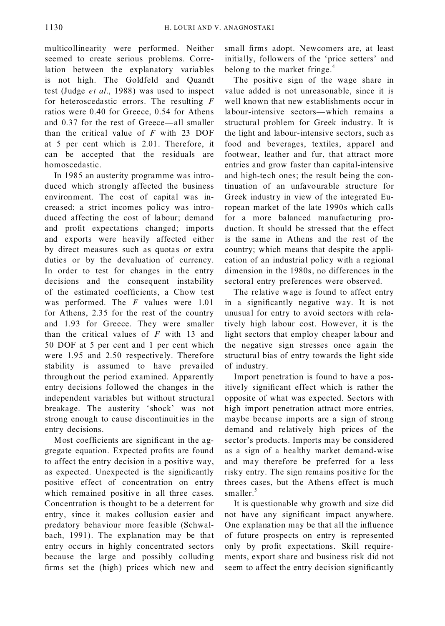multicollinearity were performed. Neither seemed to create serious problems. Correlation between the explanatory variables is not high. The Goldfeld and Quandt test (Judge *et al*., 1988) was used to inspect for heteroscedastic errors. The resulting *F* ratios were 0.40 for Greece, 0.54 for Athens and  $0.37$  for the rest of Greece—all smaller than the critical value of *F* with 23 DOF at 5 per cent which is 2.01. Therefore, it can be accepted that the residuals are homoscedastic.

In 1985 an austerity programme was introduced which strongly affected the business environment. The cost of capital was increased; a strict incomes policy was introduced affecting the cost of labour; demand and profit expectations changed; imports and exports were heavily affected either by direct measures such as quotas or extra duties or by the devaluation of currency. In order to test for changes in the entry decisions and the consequent instability of the estimated coefficients, a Chow test was performed. The *F* values were 1.01 for Athens, 2.35 for the rest of the country and 1.93 for Greece. They were smaller than the critical values of *F* with 13 and 50 DOF at 5 per cent and 1 per cent which were 1.95 and 2.50 respectively. Therefore stability is assumed to have prevailed throughout the period examined. Apparently entry decisions followed the changes in the independent variables but without structural breakage. The austerity `shock' was not strong enough to cause discontinuities in the entry decisions.

Most coefficients are significant in the aggregate equation. Expected profits are found to affect the entry decision in a positive way, as expected. Unexpected is the significantly positive effect of concentration on entry which remained positive in all three cases. Concentration is thought to be a deterrent for entry, since it makes collusion easier and predatory behaviour more feasible (Schwalbach, 1991). The explanation may be that entry occurs in highly concentrated sectors because the large and possibly colluding firms set the (high) prices which new and small firms adopt. Newcomers are, at least initially, followers of the `price setters' and belong to the market fringe. $4$ 

The positive sign of the wage share in value added is not unreasonable, since it is well known that new establishments occur in labour-intensive sectors—which remains a structural problem for Greek industry. It is the light and labour-intensive sectors, such as food and beverages, textiles, apparel and footwear, leather and fur, that attract more entries and grow faster than capital-intensive and high-tech ones; the result being the continuation of an unfavourable structure for Greek industry in view of the integrated European market of the late 1990s which calls for a more balanced manufacturing production. It should be stressed that the effect is the same in Athens and the rest of the country; which means that despite the application of an industrial policy with a regional dimension in the 1980s, no differences in the sectoral entry preferences were observed.

The relative wage is found to affect entry in a significantly negative way. It is not unusual for entry to avoid sectors with relatively high labour cost. However, it is the light sectors that employ cheaper labour and the negative sign stresses once again the structural bias of entry towards the light side of industry.

Import penetration is found to have a positively significant effect which is rather the opposite of what was expected. Sectors with high import penetration attract more entries, maybe because imports are a sign of strong demand and relatively high prices of the sector's products. Imports may be considered as a sign of a healthy market demand-wise and may therefore be preferred for a less risky entry. The sign remains positive for the threes cases, but the Athens effect is much smaller. $5$ 

It is questionable why growth and size did not have any significant impact anywhere. One explanation may be that all the influence of future prospects on entry is represented only by profit expectations. Skill requirements, export share and business risk did not seem to affect the entry decision significantly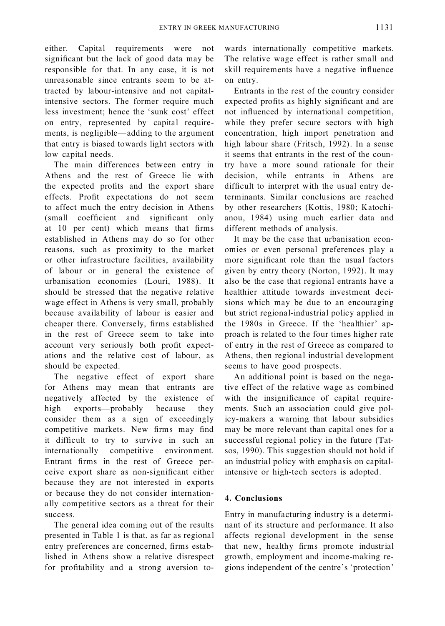either. Capital requirements were not significant but the lack of good data may be responsible for that. In any case, it is not unreasonable since entrants seem to be attracted by labour-intensive and not capitalintensive sectors. The former require much less investment; hence the `sunk cost' effect on entry, represented by capital requirements, is negligible—adding to the argument that entry is biased towards light sectors with low capital needs.

The main differences between entry in Athens and the rest of Greece lie with the expected profits and the export share effects. Profit expectations do not seem to affect much the entry decision in Athens (small coefficient and significant only at 10 per cent) which means that firms established in Athens may do so for other reasons, such as proximity to the market or other infrastructure facilities, availability of labour or in general the existence of urbanisation economies (Louri, 1988). It should be stressed that the negative relative wage effect in Athens is very small, probably because availability of labour is easier and cheaper there. Conversely, firms established in the rest of Greece seem to take into account very seriously both profit expectations and the relative cost of labour, as should be expected.

The negative effect of export share for Athens may mean that entrants are negatively affected by the existence of high exports—probably because they consider them as a sign of exceedingly competitive markets. New firms may find it difficult to try to survive in such an internationally competitive environment. Entrant firms in the rest of Greece perceive export share as non-significant either because they are not interested in exports or because they do not consider internationally competitive sectors as a threat for their success.

The general idea coming out of the results presented in Table 1 is that, as far as regional entry preferences are concerned, firms established in Athens show a relative disrespect for profitability and a strong aversion to-

wards internationally competitive markets. The relative wage effect is rather small and skill requirements have a negative influence on entry.

Entrants in the rest of the country consider expected profits as highly significant and are not influenced by international competition, while they prefer secure sectors with high concentration, high import penetration and high labour share (Fritsch, 1992). In a sense it seems that entrants in the rest of the country have a more sound rationale for their decision, while entrants in Athens are difficult to interpret with the usual entry determinants. Similar conclusions are reached by other researchers (Kottis, 1980; Katochianou, 1984) using much earlier data and different methods of analysis.

It may be the case that urbanisation economies or even personal preferences play a more significant role than the usual factors given by entry theory (Norton, 1992). It may also be the case that regional entrants have a healthier attitude towards investment decisions which may be due to an encouraging but strict regional-industrial policy applied in the 1980s in Greece. If the `healthier' approach is related to the four times higher rate of entry in the rest of Greece as compared to Athens, then regional industrial development seems to have good prospects.

An additional point is based on the negative effect of the relative wage as combined with the insignificance of capital requirements. Such an association could give policy-makers a warning that labour subsidies may be more relevant than capital ones for a successful regional policy in the future (Tatsos, 1990). This suggestion should not hold if an industrial policy with emphasis on capitalintensive or high-tech sectors is adopted.

#### **4. Conclusions**

Entry in manufacturing industry is a determinant of its structure and performance. It also affects regional development in the sense that new, healthy firms promote industrial growth, employment and income-making regions independent of the centre's `protection'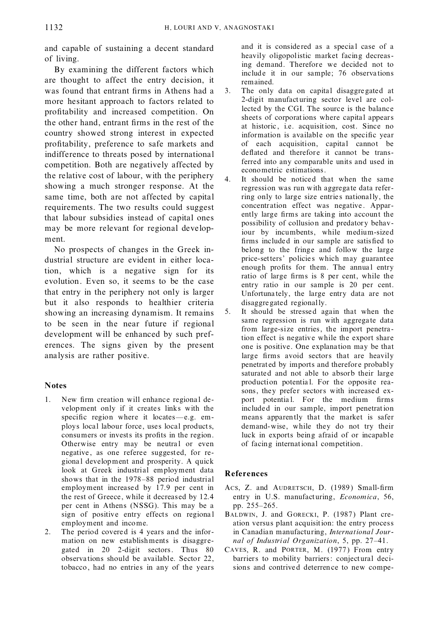and capable of sustaining a decent standard of living.

By examining the different factors which are thought to affect the entry decision, it was found that entrant firms in Athens had a more hesitant approach to factors related to profitability and increased competition. On the other hand, entrant firms in the rest of the country showed strong interest in expected profitability, preference to safe markets and indifference to threats posed by international competition. Both are negatively affected by the relative cost of labour, with the periphery showing a much stronger response. At the same time, both are not affected by capital requirements. The two results could suggest that labour subsidies instead of capital ones may be more relevant for regional development.

No prospects of changes in the Greek industrial structure are evident in either location, which is a negative sign for its evolution. Even so, it seems to be the case that entry in the periphery not only is larger but it also responds to healthier criteria showing an increasing dynamism. It remains to be seen in the near future if regional development will be enhanced by such preferences. The signs given by the present analysis are rather positive.

#### **Notes**

- 1. New firm creation will enhance regional development only if it creates links with the specific region where it locates—e.g. employs local labour force, uses local products, consumers or invests its profits in the region. Otherwise entry may be neutral or even negative , as one referee suggested, for regional develop ment and prosperity. A quick look at Greek industrial employment data shows that in the 1978–88 period industrial employment increased by 17.9 per cent in the rest of Greece, while it decreased by 12.4 per cent in Athens (NSSG). This may be a sign of positive entry effects on regiona l employment and income.
- 2. The period covered is 4 years and the information on new establishments is disaggregated in 20 2-digit sectors. Thus 80 observa tions should be available. Sector 22, tobacco , had no entries in any of the years

and it is conside red as a special case of a heavily oligopolistic market facing decreasing demand. Therefore we decided not to include it in our sample; 76 observa tions remained.

- 3. The only data on capital disaggregated at 2-digit manufacturing sector level are collected by the CGI. The source is the balance sheets of corporations where capital appears at historic, i.e. acquisition, cost. Since no information is available on the specific year of each acquisition, capital cannot be deflated and therefore it cannot be transferred into any comparable units and used in econometric estimations.
- 4. It should be noticed that when the same regression was run with aggregate data referring only to large size entries nationally, the concentration effect was negative. Apparently large firms are taking into account the possibility of collusion and predatory behaviour by incumbents, while medium-sized firms included in our sample are satisfied to belong to the fringe and follow the large price-setters' policies which may guarantee enough profits for them. The annual entry ratio of large firms is 8 per cent, while the entry ratio in our sample is 20 per cent. Unfortuna tely, the large entry data are not disaggregated regionally.
- 5. It should be stressed again that when the same regression is run with aggregate data from large-size entries, the import penetration effect is negative while the export share one is positive. One explanation may be that large firms avoid sectors that are heavily penetrated by imports and therefore probably saturated and not able to absorb their large production potentia l. For the opposite reasons, they prefer sectors with increased export potential. For the medium firms include d in our sample, import penetration means apparently that the market is safer demand-wise, while they do not try their luck in exports being afraid of or incapable of facing international competition.

### **References**

- ACS, Z. and AUDRETSCH, D. (1989) Small-firm entry in U.S. manufacturing, *Economica*, 56, pp. 255-265.
- BALDWIN, J. and GORECKI, P. (1987) Plant creation versus plant acquisition: the entry process in Canadian manufacturing, *International Journal of Industrial Organization*, 5, pp. 27-41.
- CAVES, R. and PORTER, M. (1977) From entry barriers to mobility barriers : conjectural decisions and contrive d deterren ce to new compe-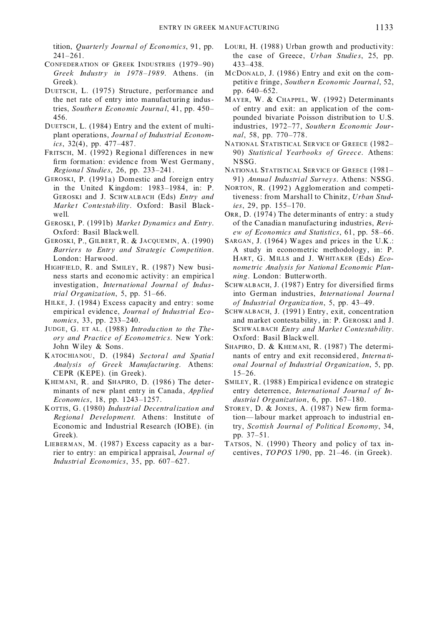tition, Quarterly Journal of Economics, 91, pp.  $241 - 261$ .

- CONFEDERATION OF GREEK INDUSTRIES (1979-90) Greek Industry in 1978-1989. Athens. (in Greek).
- DUETSCH, L. (1975) Structure, performance and the net rate of entry into manufacturing industries, Southern Economic Journal, 41, pp. 450-456.
- DUETSCH, L. (1984) Entry and the extent of multiplant operations, Journal of Industrial Economics.  $32(4)$ , pp.  $477-487$ .
- FRITSCH, M. (1992) Regional differences in new firm formation: evidence from West Germany, Regional Studies, 26, pp. 233-241.
- GEROSKI, P. (1991a) Domestic and foreign entry in the United Kingdom: 1983-1984, in: P. GEROSKI and J. SCHWALBACH (Eds) Entry and Market Contestability. Oxford: Basil Blackwell.
- GEROSKI, P. (1991b) Market Dynamics and Entry. Oxford: Basil Blackwell.
- GEROSKI, P., GILBERT, R. & JACQUEMIN, A. (1990) Barriers to Entry and Strategic Competition. London: Harwood.
- HIGHFIELD, R. and SMILEY, R. (1987) New business starts and economic activity: an empirical investigation, International Journal of Industrial Organization, 5, pp.  $51-66$ .
- HILKE, J. (1984) Excess capacity and entry: some empirical evidence, Journal of Industrial Economics, 33, pp. 233-240.
- JUDGE, G. ET AL. (1988) Introduction to the Theory and Practice of Econometrics. New York: John Wiley & Sons.
- KATOCHIANOU, D. (1984) Sectoral and Spatial Analysis of Greek Manufacturing. Athens: CEPR (KEPE). (in Greek).
- KHEMANI, R. and SHAPIRO, D. (1986) The determinants of new plant entry in Canada, *Applied* Economics, 18, pp. 1243-1257.
- KOTTIS, G. (1980) Industrial Decentralization and Regional Development. Athens: Institute of Economic and Industrial Research (IOBE). (in Greek).
- LIEBERMAN, M. (1987) Excess capacity as a barrier to entry: an empirical appraisal, Journal of Industrial Economics, 35, pp. 607-627.
- LOURI, H. (1988) Urban growth and productivity: the case of Greece, Urban Studies, 25, pp.  $433 - 438$
- MCDONALD, J. (1986) Entry and exit on the competitive fringe, Southern Economic Journal, 52, pp. 640-652.
- MAYER, W. & CHAPPEL, W. (1992) Determinants of entry and exit: an application of the compounded bivariate Poisson distribution to U.S. industries, 1972-77, Southern Economic Journal, 58, pp. 770-778.
- NATIONAL STATISTICAL SERVICE OF GREECE (1982-90) Statistical Yearbooks of Greece. Athens: NSSG.
- NATIONAL STATISTICAL SERVICE OF GREECE (1981-91) Annual Industrial Surveys. Athens: NSSG.
- NORTON, R. (1992) Agglomeration and competitiveness: from Marshall to Chinitz, Urban Studies, 29, pp. 155-170.
- ORR, D. (1974) The determinants of entry: a study of the Canadian manufacturing industries, Review of Economics and Statistics, 61, pp. 58-66.
- SARGAN, J. (1964) Wages and prices in the U.K.: A study in econometric methodology, in: P. HART, G. MILLS and J. WHITAKER (Eds) Econometric Analysis for National Economic Planning. London: Butterworth.
- SCHWALBACH, J. (1987) Entry for diversified firms into German industries, International Journal of Industrial Organization, 5, pp. 43-49.
- SCHWALBACH, J. (1991) Entry, exit, concentration and market contestability, in: P. GEROSKI and J. SCHWALBACH Entry and Market Contestability. Oxford: Basil Blackwell.
- SHAPIRO, D. & KHEMANI, R. (1987) The determinants of entry and exit reconsidered, International Journal of Industrial Organization, 5, pp.  $15 - 26$ .
- SMILEY, R. (1988) Empirical evidence on strategic entry deterrence, International Journal of Industrial Organization, 6, pp. 167-180.
- STOREY, D. & JONES, A. (1987) New firm formation-labour market approach to industrial entry, Scottish Journal of Political Economy, 34, pp. 37-51.
- TATSOS, N. (1990) Theory and policy of tax incentives, TOPOS 1/90, pp. 21-46. (in Greek).